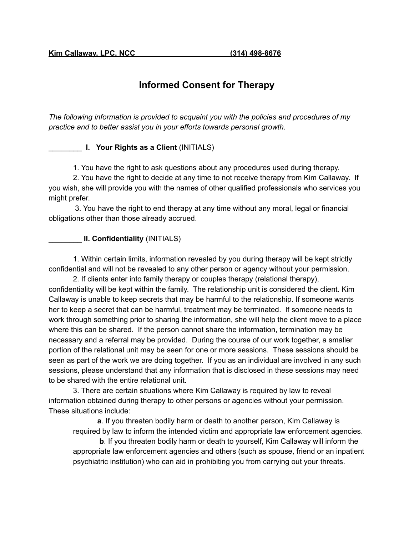# **Informed Consent for Therapy**

*The following information is provided to acquaint you with the policies and procedures of my practice and to better assist you in your efforts towards personal growth.*

### \_\_\_\_\_\_\_\_ **I. Your Rights as a Client** (INITIALS)

1. You have the right to ask questions about any procedures used during therapy.

2. You have the right to decide at any time to not receive therapy from Kim Callaway. If you wish, she will provide you with the names of other qualified professionals who services you might prefer.

3. You have the right to end therapy at any time without any moral, legal or financial obligations other than those already accrued.

### \_\_\_\_\_\_\_\_ **II. Confidentiality** (INITIALS)

1. Within certain limits, information revealed by you during therapy will be kept strictly confidential and will not be revealed to any other person or agency without your permission.

2. If clients enter into family therapy or couples therapy (relational therapy), confidentiality will be kept within the family. The relationship unit is considered the client. Kim Callaway is unable to keep secrets that may be harmful to the relationship. If someone wants her to keep a secret that can be harmful, treatment may be terminated. If someone needs to work through something prior to sharing the information, she will help the client move to a place where this can be shared. If the person cannot share the information, termination may be necessary and a referral may be provided. During the course of our work together, a smaller portion of the relational unit may be seen for one or more sessions. These sessions should be seen as part of the work we are doing together. If you as an individual are involved in any such sessions, please understand that any information that is disclosed in these sessions may need to be shared with the entire relational unit.

3. There are certain situations where Kim Callaway is required by law to reveal information obtained during therapy to other persons or agencies without your permission. These situations include:

**a**. If you threaten bodily harm or death to another person, Kim Callaway is required by law to inform the intended victim and appropriate law enforcement agencies.

**b**. If you threaten bodily harm or death to yourself, Kim Callaway will inform the appropriate law enforcement agencies and others (such as spouse, friend or an inpatient psychiatric institution) who can aid in prohibiting you from carrying out your threats.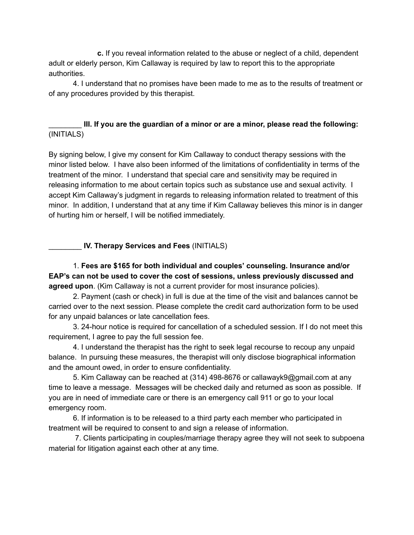**c.** If you reveal information related to the abuse or neglect of a child, dependent adult or elderly person, Kim Callaway is required by law to report this to the appropriate authorities.

4. I understand that no promises have been made to me as to the results of treatment or of any procedures provided by this therapist.

## \_\_\_\_\_\_\_\_ **III. If you are the guardian of a minor or are a minor, please read the following:** (INITIALS)

By signing below, I give my consent for Kim Callaway to conduct therapy sessions with the minor listed below. I have also been informed of the limitations of confidentiality in terms of the treatment of the minor. I understand that special care and sensitivity may be required in releasing information to me about certain topics such as substance use and sexual activity. I accept Kim Callaway's judgment in regards to releasing information related to treatment of this minor. In addition, I understand that at any time if Kim Callaway believes this minor is in danger of hurting him or herself, I will be notified immediately.

\_\_\_\_\_\_\_\_ **IV. Therapy Services and Fees** (INITIALS)

1. **Fees are \$165 for both individual and couples' counseling. Insurance and/or EAP's can not be used to cover the cost of sessions, unless previously discussed and agreed upon**. (Kim Callaway is not a current provider for most insurance policies).

2. Payment (cash or check) in full is due at the time of the visit and balances cannot be carried over to the next session. Please complete the credit card authorization form to be used for any unpaid balances or late cancellation fees.

3. 24-hour notice is required for cancellation of a scheduled session. If I do not meet this requirement, I agree to pay the full session fee.

4. I understand the therapist has the right to seek legal recourse to recoup any unpaid balance. In pursuing these measures, the therapist will only disclose biographical information and the amount owed, in order to ensure confidentiality.

5. Kim Callaway can be reached at (314) 498-8676 or callawayk9@gmail.com at any time to leave a message. Messages will be checked daily and returned as soon as possible. If you are in need of immediate care or there is an emergency call 911 or go to your local emergency room.

6. If information is to be released to a third party each member who participated in treatment will be required to consent to and sign a release of information.

7. Clients participating in couples/marriage therapy agree they will not seek to subpoena material for litigation against each other at any time.